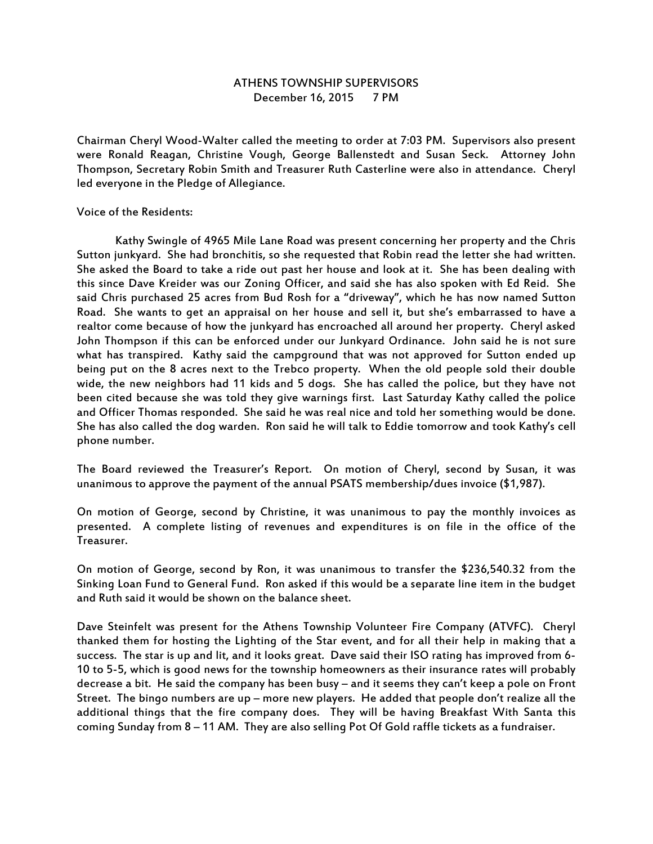## ATHENS TOWNSHIP SUPERVISORS December 16, 2015 7 PM

Chairman Cheryl Wood-Walter called the meeting to order at 7:03 PM. Supervisors also present were Ronald Reagan, Christine Vough, George Ballenstedt and Susan Seck. Attorney John Thompson, Secretary Robin Smith and Treasurer Ruth Casterline were also in attendance. Cheryl led everyone in the Pledge of Allegiance.

## Voice of the Residents:

 Kathy Swingle of 4965 Mile Lane Road was present concerning her property and the Chris Sutton junkyard. She had bronchitis, so she requested that Robin read the letter she had written. She asked the Board to take a ride out past her house and look at it. She has been dealing with this since Dave Kreider was our Zoning Officer, and said she has also spoken with Ed Reid. She said Chris purchased 25 acres from Bud Rosh for a "driveway", which he has now named Sutton Road. She wants to get an appraisal on her house and sell it, but she's embarrassed to have a realtor come because of how the junkyard has encroached all around her property. Cheryl asked John Thompson if this can be enforced under our Junkyard Ordinance. John said he is not sure what has transpired. Kathy said the campground that was not approved for Sutton ended up being put on the 8 acres next to the Trebco property. When the old people sold their double wide, the new neighbors had 11 kids and 5 dogs. She has called the police, but they have not been cited because she was told they give warnings first. Last Saturday Kathy called the police and Officer Thomas responded. She said he was real nice and told her something would be done. She has also called the dog warden. Ron said he will talk to Eddie tomorrow and took Kathy's cell phone number.

The Board reviewed the Treasurer's Report. On motion of Cheryl, second by Susan, it was unanimous to approve the payment of the annual PSATS membership/dues invoice (\$1,987).

On motion of George, second by Christine, it was unanimous to pay the monthly invoices as presented. A complete listing of revenues and expenditures is on file in the office of the Treasurer.

On motion of George, second by Ron, it was unanimous to transfer the \$236,540.32 from the Sinking Loan Fund to General Fund. Ron asked if this would be a separate line item in the budget and Ruth said it would be shown on the balance sheet.

Dave Steinfelt was present for the Athens Township Volunteer Fire Company (ATVFC). Cheryl thanked them for hosting the Lighting of the Star event, and for all their help in making that a success. The star is up and lit, and it looks great. Dave said their ISO rating has improved from 6- 10 to 5-5, which is good news for the township homeowners as their insurance rates will probably decrease a bit. He said the company has been busy – and it seems they can't keep a pole on Front Street. The bingo numbers are up – more new players. He added that people don't realize all the additional things that the fire company does. They will be having Breakfast With Santa this coming Sunday from 8 – 11 AM. They are also selling Pot Of Gold raffle tickets as a fundraiser.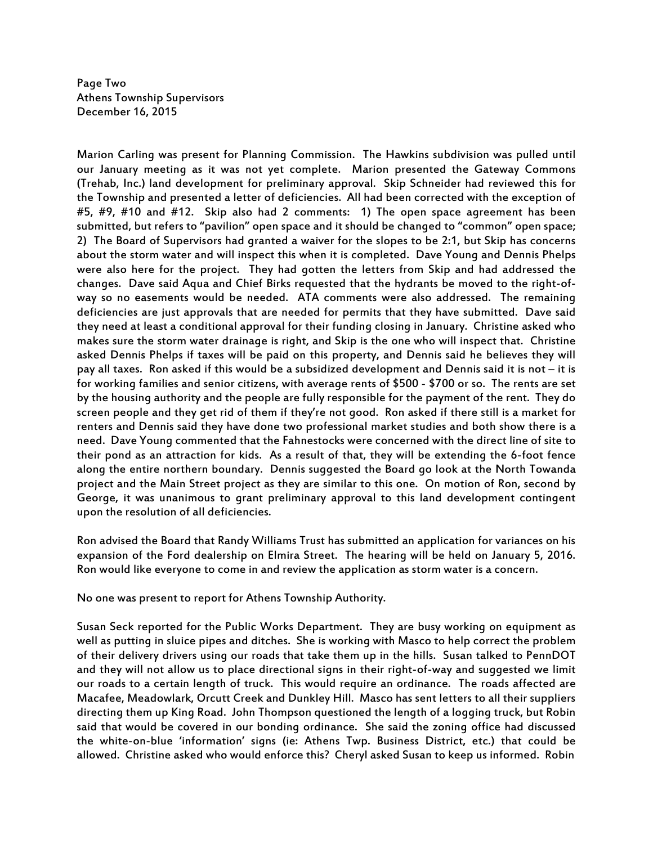Page Two Athens Township Supervisors December 16, 2015

Marion Carling was present for Planning Commission. The Hawkins subdivision was pulled until our January meeting as it was not yet complete. Marion presented the Gateway Commons (Trehab, Inc.) land development for preliminary approval. Skip Schneider had reviewed this for the Township and presented a letter of deficiencies. All had been corrected with the exception of #5, #9, #10 and #12. Skip also had 2 comments: 1) The open space agreement has been submitted, but refers to "pavilion" open space and it should be changed to "common" open space; 2) The Board of Supervisors had granted a waiver for the slopes to be 2:1, but Skip has concerns about the storm water and will inspect this when it is completed. Dave Young and Dennis Phelps were also here for the project. They had gotten the letters from Skip and had addressed the changes. Dave said Aqua and Chief Birks requested that the hydrants be moved to the right-ofway so no easements would be needed. ATA comments were also addressed. The remaining deficiencies are just approvals that are needed for permits that they have submitted. Dave said they need at least a conditional approval for their funding closing in January. Christine asked who makes sure the storm water drainage is right, and Skip is the one who will inspect that. Christine asked Dennis Phelps if taxes will be paid on this property, and Dennis said he believes they will pay all taxes. Ron asked if this would be a subsidized development and Dennis said it is not – it is for working families and senior citizens, with average rents of \$500 - \$700 or so. The rents are set by the housing authority and the people are fully responsible for the payment of the rent. They do screen people and they get rid of them if they're not good. Ron asked if there still is a market for renters and Dennis said they have done two professional market studies and both show there is a need. Dave Young commented that the Fahnestocks were concerned with the direct line of site to their pond as an attraction for kids. As a result of that, they will be extending the 6-foot fence along the entire northern boundary. Dennis suggested the Board go look at the North Towanda project and the Main Street project as they are similar to this one. On motion of Ron, second by George, it was unanimous to grant preliminary approval to this land development contingent upon the resolution of all deficiencies.

Ron advised the Board that Randy Williams Trust has submitted an application for variances on his expansion of the Ford dealership on Elmira Street. The hearing will be held on January 5, 2016. Ron would like everyone to come in and review the application as storm water is a concern.

No one was present to report for Athens Township Authority.

Susan Seck reported for the Public Works Department. They are busy working on equipment as well as putting in sluice pipes and ditches. She is working with Masco to help correct the problem of their delivery drivers using our roads that take them up in the hills. Susan talked to PennDOT and they will not allow us to place directional signs in their right-of-way and suggested we limit our roads to a certain length of truck. This would require an ordinance. The roads affected are Macafee, Meadowlark, Orcutt Creek and Dunkley Hill. Masco has sent letters to all their suppliers directing them up King Road. John Thompson questioned the length of a logging truck, but Robin said that would be covered in our bonding ordinance. She said the zoning office had discussed the white-on-blue 'information' signs (ie: Athens Twp. Business District, etc.) that could be allowed. Christine asked who would enforce this? Cheryl asked Susan to keep us informed. Robin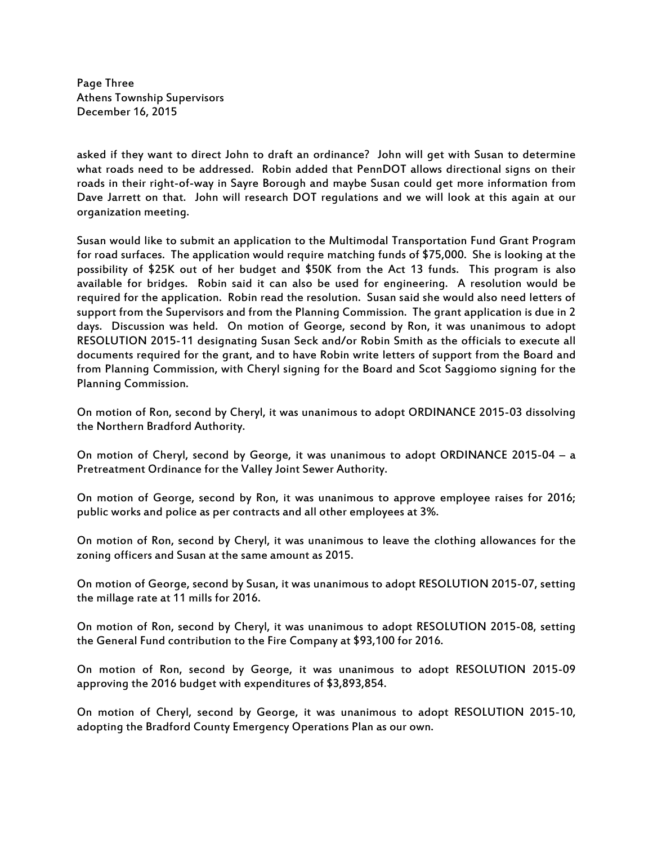Page Three Athens Township Supervisors December 16, 2015

asked if they want to direct John to draft an ordinance? John will get with Susan to determine what roads need to be addressed. Robin added that PennDOT allows directional signs on their roads in their right-of-way in Sayre Borough and maybe Susan could get more information from Dave Jarrett on that. John will research DOT regulations and we will look at this again at our organization meeting.

Susan would like to submit an application to the Multimodal Transportation Fund Grant Program for road surfaces. The application would require matching funds of \$75,000. She is looking at the possibility of \$25K out of her budget and \$50K from the Act 13 funds. This program is also available for bridges. Robin said it can also be used for engineering. A resolution would be required for the application. Robin read the resolution. Susan said she would also need letters of support from the Supervisors and from the Planning Commission. The grant application is due in 2 days. Discussion was held. On motion of George, second by Ron, it was unanimous to adopt RESOLUTION 2015-11 designating Susan Seck and/or Robin Smith as the officials to execute all documents required for the grant, and to have Robin write letters of support from the Board and from Planning Commission, with Cheryl signing for the Board and Scot Saggiomo signing for the Planning Commission.

On motion of Ron, second by Cheryl, it was unanimous to adopt ORDINANCE 2015-03 dissolving the Northern Bradford Authority.

On motion of Cheryl, second by George, it was unanimous to adopt ORDINANCE 2015-04 – a Pretreatment Ordinance for the Valley Joint Sewer Authority.

On motion of George, second by Ron, it was unanimous to approve employee raises for 2016; public works and police as per contracts and all other employees at 3%.

On motion of Ron, second by Cheryl, it was unanimous to leave the clothing allowances for the zoning officers and Susan at the same amount as 2015.

On motion of George, second by Susan, it was unanimous to adopt RESOLUTION 2015-07, setting the millage rate at 11 mills for 2016.

On motion of Ron, second by Cheryl, it was unanimous to adopt RESOLUTION 2015-08, setting the General Fund contribution to the Fire Company at \$93,100 for 2016.

On motion of Ron, second by George, it was unanimous to adopt RESOLUTION 2015-09 approving the 2016 budget with expenditures of \$3,893,854.

On motion of Cheryl, second by George, it was unanimous to adopt RESOLUTION 2015-10, adopting the Bradford County Emergency Operations Plan as our own.